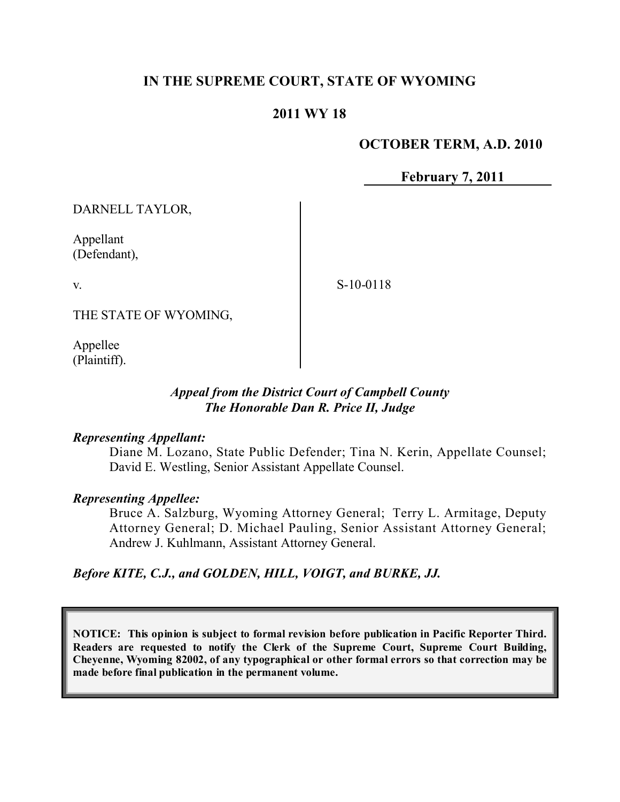# **IN THE SUPREME COURT, STATE OF WYOMING**

# **2011 WY 18**

#### **OCTOBER TERM, A.D. 2010**

**February 7, 2011**

DARNELL TAYLOR,

Appellant (Defendant),

v.

S-10-0118

THE STATE OF WYOMING,

Appellee (Plaintiff).

#### *Appeal from the District Court of Campbell County The Honorable Dan R. Price II, Judge*

#### *Representing Appellant:*

Diane M. Lozano, State Public Defender; Tina N. Kerin, Appellate Counsel; David E. Westling, Senior Assistant Appellate Counsel.

## *Representing Appellee:*

Bruce A. Salzburg, Wyoming Attorney General; Terry L. Armitage, Deputy Attorney General; D. Michael Pauling, Senior Assistant Attorney General; Andrew J. Kuhlmann, Assistant Attorney General.

*Before KITE, C.J., and GOLDEN, HILL, VOIGT, and BURKE, JJ.*

**NOTICE: This opinion is subject to formal revision before publication in Pacific Reporter Third. Readers are requested to notify the Clerk of the Supreme Court, Supreme Court Building, Cheyenne, Wyoming 82002, of any typographical or other formal errors so that correction may be made before final publication in the permanent volume.**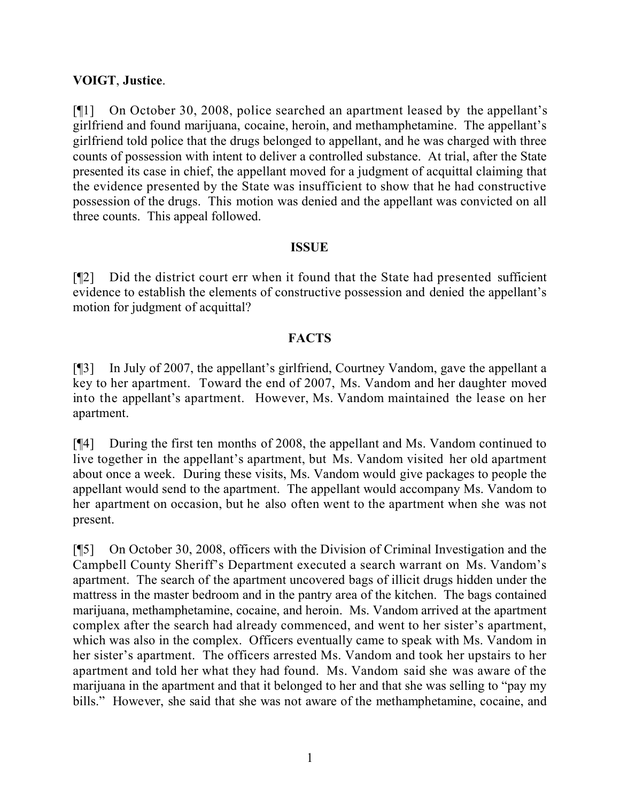## **VOIGT**, **Justice**.

[¶1] On October 30, 2008, police searched an apartment leased by the appellant's girlfriend and found marijuana, cocaine, heroin, and methamphetamine. The appellant's girlfriend told police that the drugs belonged to appellant, and he was charged with three counts of possession with intent to deliver a controlled substance. At trial, after the State presented its case in chief, the appellant moved for a judgment of acquittal claiming that the evidence presented by the State was insufficient to show that he had constructive possession of the drugs. This motion was denied and the appellant was convicted on all three counts. This appeal followed.

#### **ISSUE**

[¶2] Did the district court err when it found that the State had presented sufficient evidence to establish the elements of constructive possession and denied the appellant's motion for judgment of acquittal?

# **FACTS**

[¶3] In July of 2007, the appellant's girlfriend, Courtney Vandom, gave the appellant a key to her apartment. Toward the end of 2007, Ms. Vandom and her daughter moved into the appellant's apartment. However, Ms. Vandom maintained the lease on her apartment.

[¶4] During the first ten months of 2008, the appellant and Ms. Vandom continued to live together in the appellant's apartment, but Ms. Vandom visited her old apartment about once a week. During these visits, Ms. Vandom would give packages to people the appellant would send to the apartment. The appellant would accompany Ms. Vandom to her apartment on occasion, but he also often went to the apartment when she was not present.

[¶5] On October 30, 2008, officers with the Division of Criminal Investigation and the Campbell County Sheriff's Department executed a search warrant on Ms. Vandom's apartment. The search of the apartment uncovered bags of illicit drugs hidden under the mattress in the master bedroom and in the pantry area of the kitchen. The bags contained marijuana, methamphetamine, cocaine, and heroin. Ms. Vandom arrived at the apartment complex after the search had already commenced, and went to her sister's apartment, which was also in the complex. Officers eventually came to speak with Ms. Vandom in her sister's apartment. The officers arrested Ms. Vandom and took her upstairs to her apartment and told her what they had found. Ms. Vandom said she was aware of the marijuana in the apartment and that it belonged to her and that she was selling to "pay my bills." However, she said that she was not aware of the methamphetamine, cocaine, and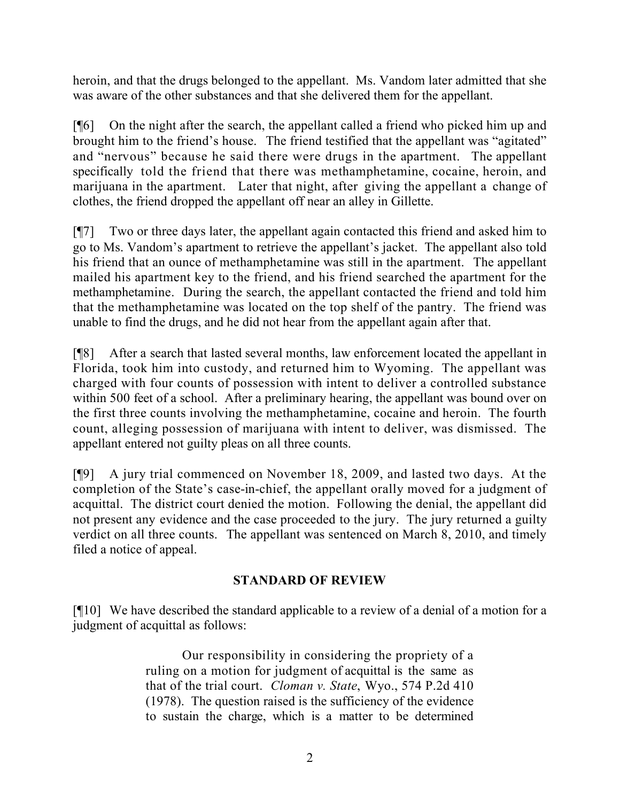heroin, and that the drugs belonged to the appellant. Ms. Vandom later admitted that she was aware of the other substances and that she delivered them for the appellant.

[¶6] On the night after the search, the appellant called a friend who picked him up and brought him to the friend's house. The friend testified that the appellant was "agitated" and "nervous" because he said there were drugs in the apartment. The appellant specifically told the friend that there was methamphetamine, cocaine, heroin, and marijuana in the apartment. Later that night, after giving the appellant a change of clothes, the friend dropped the appellant off near an alley in Gillette.

[¶7] Two or three days later, the appellant again contacted this friend and asked him to go to Ms. Vandom's apartment to retrieve the appellant's jacket. The appellant also told his friend that an ounce of methamphetamine was still in the apartment. The appellant mailed his apartment key to the friend, and his friend searched the apartment for the methamphetamine. During the search, the appellant contacted the friend and told him that the methamphetamine was located on the top shelf of the pantry. The friend was unable to find the drugs, and he did not hear from the appellant again after that.

[¶8] After a search that lasted several months, law enforcement located the appellant in Florida, took him into custody, and returned him to Wyoming. The appellant was charged with four counts of possession with intent to deliver a controlled substance within 500 feet of a school. After a preliminary hearing, the appellant was bound over on the first three counts involving the methamphetamine, cocaine and heroin. The fourth count, alleging possession of marijuana with intent to deliver, was dismissed. The appellant entered not guilty pleas on all three counts.

[¶9] A jury trial commenced on November 18, 2009, and lasted two days. At the completion of the State's case-in-chief, the appellant orally moved for a judgment of acquittal. The district court denied the motion. Following the denial, the appellant did not present any evidence and the case proceeded to the jury. The jury returned a guilty verdict on all three counts. The appellant was sentenced on March 8, 2010, and timely filed a notice of appeal.

# **STANDARD OF REVIEW**

[¶10] We have described the standard applicable to a review of a denial of a motion for a judgment of acquittal as follows:

> Our responsibility in considering the propriety of a ruling on a motion for judgment of acquittal is the same as that of the trial court. *Cloman v. State*, Wyo., 574 P.2d 410 (1978). The question raised is the sufficiency of the evidence to sustain the charge, which is a matter to be determined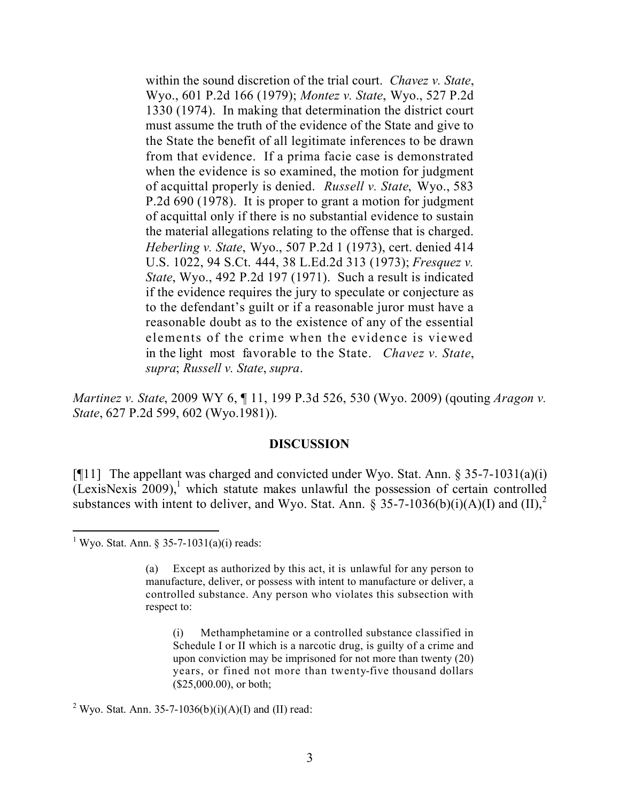within the sound discretion of the trial court. *Chavez v. State*, Wyo., 601 P.2d 166 (1979); *Montez v. State*, Wyo., 527 P.2d 1330 (1974). In making that determination the district court must assume the truth of the evidence of the State and give to the State the benefit of all legitimate inferences to be drawn from that evidence. If a prima facie case is demonstrated when the evidence is so examined, the motion for judgment of acquittal properly is denied. *Russell v. State*, Wyo., 583 P.2d 690 (1978). It is proper to grant a motion for judgment of acquittal only if there is no substantial evidence to sustain the material allegations relating to the offense that is charged. *Heberling v. State*, Wyo., 507 P.2d 1 (1973), cert. denied 414 U.S. 1022, 94 S.Ct. 444, 38 L.Ed.2d 313 (1973); *Fresquez v. State*, Wyo., 492 P.2d 197 (1971). Such a result is indicated if the evidence requires the jury to speculate or conjecture as to the defendant's guilt or if a reasonable juror must have a reasonable doubt as to the existence of any of the essential elements of the crime when the evidence is viewed in the light most favorable to the State. *Chavez v. State*, *supra*; *Russell v. State*, *supra*.

*Martinez v. State*, 2009 WY 6, ¶ 11, 199 P.3d 526, 530 (Wyo. 2009) (qouting *Aragon v. State*, 627 P.2d 599, 602 (Wyo.1981)).

#### **DISCUSSION**

[ $[$ [11] The appellant was charged and convicted under Wyo. Stat. Ann. § 35-7-1031(a)(i) (LexisNexis 2009), 1 which statute makes unlawful the possession of certain controlled substances with intent to deliver, and Wyo. Stat. Ann.  $\hat{\S}$  35-7-1036(b)(i)(A)(I) and (II),<sup>2</sup>

 $\overline{a}$ 

<sup>2</sup> Wyo. Stat. Ann. 35-7-1036(b)(i)(A)(I) and (II) read:

<sup>&</sup>lt;sup>1</sup> Wyo. Stat. Ann. § 35-7-1031(a)(i) reads:

<sup>(</sup>a) Except as authorized by this act, it is unlawful for any person to manufacture, deliver, or possess with intent to manufacture or deliver, a controlled substance. Any person who violates this subsection with respect to:

<sup>(</sup>i) Methamphetamine or a controlled substance classified in Schedule I or II which is a narcotic drug, is guilty of a crime and upon conviction may be imprisoned for not more than twenty (20) years, or fined not more than twenty-five thousand dollars (\$25,000.00), or both;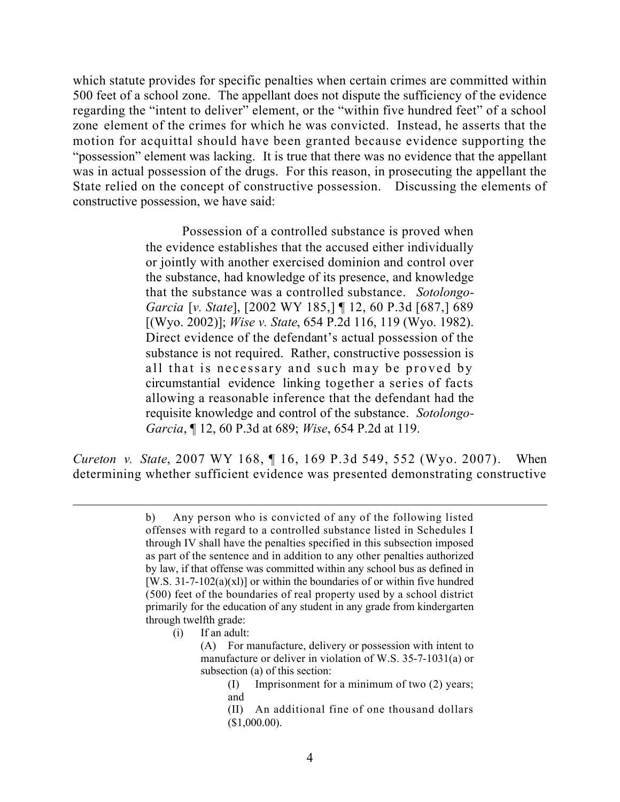which statute provides for specific penalties when certain crimes are committed within 500 feet of a school zone. The appellant does not dispute the sufficiency of the evidence regarding the "intent to deliver" element, or the "within five hundred feet" of a school zone element of the crimes for which he was convicted. Instead, he asserts that the motion for acquittal should have been granted because evidence supporting the "possession" element was lacking. It is true that there was no evidence that the appellant was in actual possession of the drugs. For this reason, in prosecuting the appellant the State relied on the concept of constructive possession. Discussing the elements of constructive possession, we have said:

> Possession of a controlled substance is proved when the evidence establishes that the accused either individually or jointly with another exercised dominion and control over the substance, had knowledge of its presence, and knowledge that the substance was a controlled substance. *Sotolongo-Garcia* [*v. State*], [2002 WY 185,] ¶ 12, 60 P.3d [687,] 689 [(Wyo. 2002)]; *Wise v. State*, 654 P.2d 116, 119 (Wyo. 1982). Direct evidence of the defendant's actual possession of the substance is not required. Rather, constructive possession is all that is necessary and such may be proved by circumstantial evidence linking together a series of facts allowing a reasonable inference that the defendant had the requisite knowledge and control of the substance. *Sotolongo-Garcia*, ¶ 12, 60 P.3d at 689; *Wise*, 654 P.2d at 119.

*Cureton v. State*, 2007 WY 168, ¶ 16, 169 P.3d 549, 552 (Wyo. 2007). When determining whether sufficient evidence was presented demonstrating constructive

(i) If an adult:

 $\overline{a}$ 

b) Any person who is convicted of any of the following listed offenses with regard to a controlled substance listed in Schedules I through IV shall have the penalties specified in this subsection imposed as part of the sentence and in addition to any other penalties authorized by law, if that offense was committed within any school bus as defined in [W.S.  $31-7-102(a)(x)$ ] or within the boundaries of or within five hundred (500) feet of the boundaries of real property used by a school district primarily for the education of any student in any grade from kindergarten through twelfth grade:

<sup>(</sup>A) For manufacture, delivery or possession with intent to manufacture or deliver in violation of W.S. 35-7-1031(a) or subsection (a) of this section:

<sup>(</sup>I) Imprisonment for a minimum of two (2) years; and

<sup>(</sup>II) An additional fine of one thousand dollars (\$1,000.00).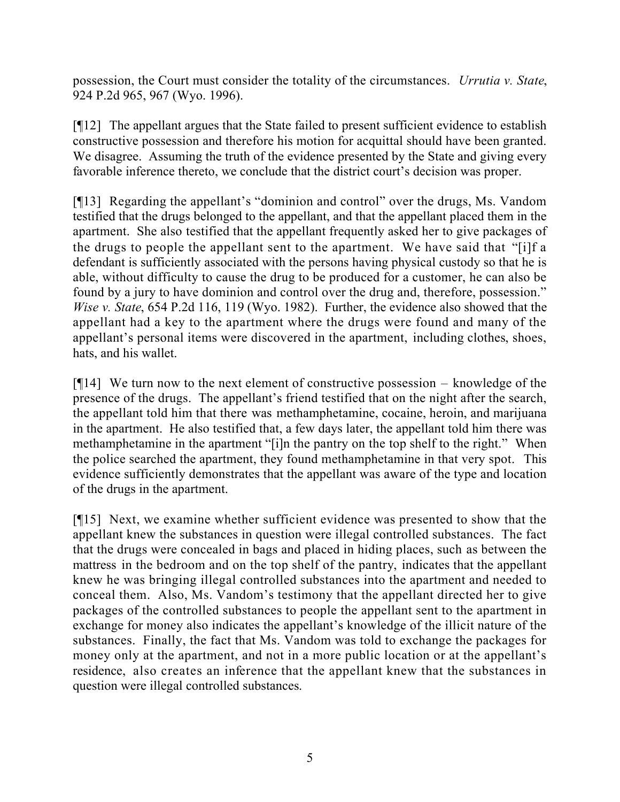possession, the Court must consider the totality of the circumstances. *Urrutia v. State*, 924 P.2d 965, 967 (Wyo. 1996).

[¶12] The appellant argues that the State failed to present sufficient evidence to establish constructive possession and therefore his motion for acquittal should have been granted. We disagree. Assuming the truth of the evidence presented by the State and giving every favorable inference thereto, we conclude that the district court's decision was proper.

[¶13] Regarding the appellant's "dominion and control" over the drugs, Ms. Vandom testified that the drugs belonged to the appellant, and that the appellant placed them in the apartment. She also testified that the appellant frequently asked her to give packages of the drugs to people the appellant sent to the apartment. We have said that "[i]f a defendant is sufficiently associated with the persons having physical custody so that he is able, without difficulty to cause the drug to be produced for a customer, he can also be found by a jury to have dominion and control over the drug and, therefore, possession." *Wise v. State*, 654 P.2d 116, 119 (Wyo. 1982). Further, the evidence also showed that the appellant had a key to the apartment where the drugs were found and many of the appellant's personal items were discovered in the apartment, including clothes, shoes, hats, and his wallet.

 $[914]$  We turn now to the next element of constructive possession – knowledge of the presence of the drugs. The appellant's friend testified that on the night after the search, the appellant told him that there was methamphetamine, cocaine, heroin, and marijuana in the apartment. He also testified that, a few days later, the appellant told him there was methamphetamine in the apartment "[i]n the pantry on the top shelf to the right." When the police searched the apartment, they found methamphetamine in that very spot. This evidence sufficiently demonstrates that the appellant was aware of the type and location of the drugs in the apartment.

[¶15] Next, we examine whether sufficient evidence was presented to show that the appellant knew the substances in question were illegal controlled substances. The fact that the drugs were concealed in bags and placed in hiding places, such as between the mattress in the bedroom and on the top shelf of the pantry, indicates that the appellant knew he was bringing illegal controlled substances into the apartment and needed to conceal them. Also, Ms. Vandom's testimony that the appellant directed her to give packages of the controlled substances to people the appellant sent to the apartment in exchange for money also indicates the appellant's knowledge of the illicit nature of the substances. Finally, the fact that Ms. Vandom was told to exchange the packages for money only at the apartment, and not in a more public location or at the appellant's residence, also creates an inference that the appellant knew that the substances in question were illegal controlled substances.